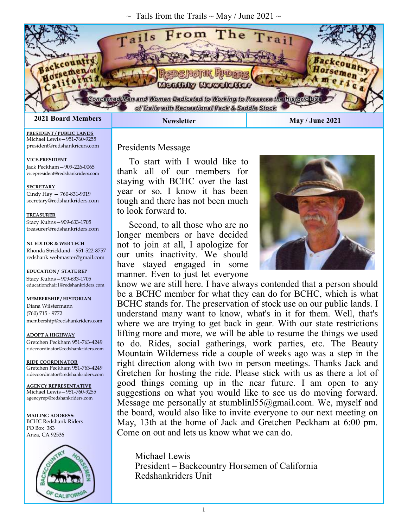$\sim$  Tails from the Trails  $\sim$  May / June 2021  $\sim$ 



**PRESIDENT / PUBLIC LANDS** Michael Lewis—951-760-9255 president@redshankricers.com

**VICE-PRESIDENT**  Jack Peckham—909-226-0065 vicepresident@redshankriders.com

**SECRETARY** Cindy Hay — 760-831-9019 secretary@redshankriders.com

**TREASURER**

Stacy Kuhns—909-633-1705 treasurer@redshankriders.com

**NL EDITOR & WEB TECH** Rhonda Strickland—951-522-8757 redshank.webmaster@gmail.com

**EDUCATION / STATE REP** Stacy Kuhns—909-633-1705 educationchair1@redshankriders.com

**MEMBERSHIP / HISTORIAN** Diana Wilstermann (760) 715 - 9772 membership@redshankriders.com

**ADOPT A HIGHWAY** Gretchen Peckham 951-763-4249 ridecoordinator@redshankriders.com

**RIDE COORDINATOR** Gretchen Peckham 951-763-4249 ridecoordinator@redshankriders.com

**AGENCY REPRESENTATIVE** Michael Lewis—951-760-9255 agencyrep@redshankriders.com

**MAILING ADDRESS:** BCHC Redshank Riders PO Box 383 Anza, CA 92536



### Presidents Message

To start with I would like to thank all of our members for staying with BCHC over the last year or so. I know it has been tough and there has not been much to look forward to.

Second, to all those who are no longer members or have decided not to join at all, I apologize for our units inactivity. We should have stayed engaged in some manner. Even to just let everyone



know we are still here. I have always contended that a person should be a BCHC member for what they can do for BCHC, which is what BCHC stands for. The preservation of stock use on our public lands. I understand many want to know, what's in it for them. Well, that's where we are trying to get back in gear. With our state restrictions lifting more and more, we will be able to resume the things we used to do. Rides, social gatherings, work parties, etc. The Beauty Mountain Wilderness ride a couple of weeks ago was a step in the right direction along with two in person meetings. Thanks Jack and Gretchen for hosting the ride. Please stick with us as there a lot of good things coming up in the near future. I am open to any suggestions on what you would like to see us do moving forward. Message me personally at stumblinl55@gmail.com. We, myself and the board, would also like to invite everyone to our next meeting on May, 13th at the home of Jack and Gretchen Peckham at 6:00 pm. Come on out and lets us know what we can do.

Michael Lewis President – Backcountry Horsemen of California Redshankriders Unit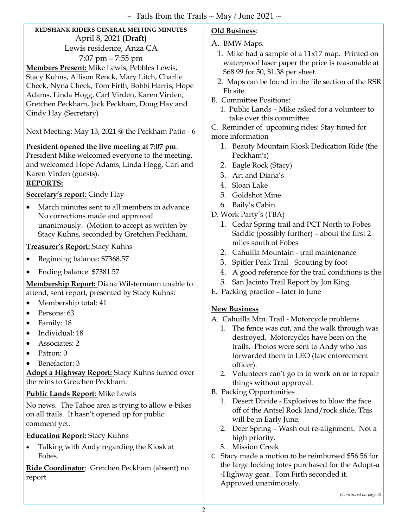### **REDSHANK RIDERS GENERAL MEETING MINUTES**  April 8, 2021 **(Draft)**  Lewis residence, Anza CA 7:07 pm – 7:55 pm

**Members Present:** Mike Lewis, Pebbles Lewis, Stacy Kuhns, Allison Renck, Mary Litch, Charlie Cheek, Nyna Cheek, Tom Firth, Bobbi Harris, Hope Adams, Linda Hogg, Carl Virden, Karen Virden, Gretchen Peckham, Jack Peckham, Doug Hay and Cindy Hay (Secretary)

Next Meeting: May 13, 2021 @ the Peckham Patio - 6

### **President opened the live meeting at 7:07 pm**.

President Mike welcomed everyone to the meeting, and welcomed Hope Adams, Linda Hogg, Carl and Karen Virden (guests).

### **REPORTS:**

### **Secretary's report**: Cindy Hay

 March minutes sent to all members in advance. No corrections made and approved unanimously. (Motion to accept as written by Stacy Kuhns, seconded by Gretchen Peckham.

### **Treasurer's Report:** Stacy Kuhns

- Beginning balance: \$7368.57
- Ending balance: \$7381.57

**Membership Report:** Diana Wilstermann unable to attend, sent report, presented by Stacy Kuhns:

- Membership total: 41
- Persons: 63
- Family: 18
- Individual: 18
- **Associates: 2**
- Patron: 0
- Benefactor: 3

**Adopt a Highway Report:** Stacy Kuhns turned over the reins to Gretchen Peckham.

### **Public Lands Report**: Mike Lewis

No news. The Tahoe area is trying to allow e-bikes on all trails. It hasn't opened up for public comment yet.

### **Education Report:** Stacy Kuhns

 Talking with Andy regarding the Kiosk at Fobes.

**Ride Coordinator**: Gretchen Peckham (absent) no report

### **Old Business**:

### A. BMW Maps:

- 1. Mike had a sample of a 11x17 map. Printed on waterproof laser paper the price is reasonable at \$68.99 for 50, \$1.38 per sheet.
- 2. Maps can be found in the file section of the RSR Fb site
- B. Committee Positions:
	- 1. Public Lands Mike asked for a volunteer to take over this committee
- C. Reminder of upcoming rides: Stay tuned for
- more information
	- 1. Beauty Mountain Kiosk Dedication Ride (the Peckham's)
	- 2. Eagle Rock (Stacy)
	- 3. Art and Diana's
	- 4. Sloan Lake
	- 5. Goldshot Mine
	- 6. Baily's Cabin
- D. Work Party's (TBA)
	- 1. Cedar Spring trail and PCT North to Fobes Saddle (possibly further) – about the first 2 miles south of Fobes
	- 2. Cahuilla Mountain trail maintenance
	- 3. Spitler Peak Trail Scouting by foot
	- 4. A good reference for the trail conditions is the
	- 5. San Jacinto Trail Report by Jon King.
- E. Packing practice later in June

### **New Business**

- A. Cahuilla Mtn. Trail Motorcycle problems
	- 1. The fence was cut, and the walk through was destroyed. Motorcycles have been on the trails. Photos were sent to Andy who has forwarded them to LEO (law enforcement officer).
	- 2. Volunteers can't go in to work on or to repair things without approval.
- B. Packing Opportunities
	- 1. Desert Divide Explosives to blow the face off of the Antsel Rock land/rock slide. This will be in Early June.
	- 2. Deer Spring Wash out re-alignment. Not a high priority.
	- 3. Mission Creek
- C. Stacy made a motion to be reimbursed \$56.56 for the large locking totes purchased for the Adopt-a -Highway gear. Tom Firth seconded it. Approved unanimously.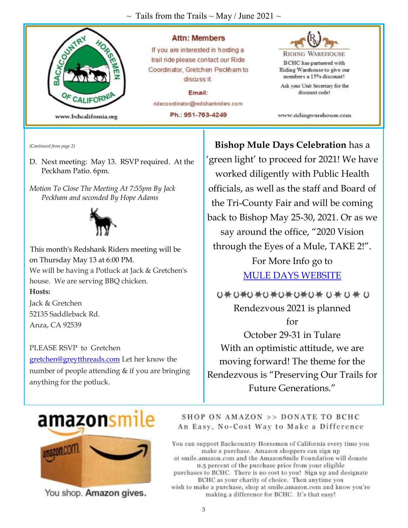$\sim$  Tails from the Trails  $\sim$  May / June 2021  $\sim$ 



*(Continued from page 2)* 

D. Next meeting: May 13. RSVP required. At the Peckham Patio. 6pm.

*Motion To Close The Meeting At 7:55pm By Jack Peckham and seconded By Hope Adams* 



This month's Redshank Riders meeting will be on Thursday May 13 at 6:00 PM. We will be having a Potluck at Jack & Gretchen's house. We are serving BBQ chicken. **Hosts:**

Jack & Gretchen 52135 Saddleback Rd. Anza, CA 92539

PLEASE RSVP to Gretchen gretchen@greytthreads.com Let her know the number of people attending & if you are bringing anything for the potluck.

**Bishop Mule Days Celebration** has a 'green light' to proceed for 2021! We have worked diligently with Public Health officials, as well as the staff and Board of the Tri-County Fair and will be coming back to Bishop May 25-30, 2021. Or as we say around the office, "2020 Vision through the Eyes of a Mule, TAKE 2!". For More Info go to MULE DAYS WEBSITE

ひ巻ひ巻ひ巻ひ巻ひ巻ひ巻ひ巻 ひ巻 ひ Rendezvous 2021 is planned for

October 29-31 in Tulare With an optimistic attitude, we are moving forward! The theme for the Rendezvous is "Preserving Our Trails for Future Generations."



You shop. Amazon gives.

### SHOP ON AMAZON >> DONATE TO BCHC An Easy, No-Cost Way to Make a Difference

You can support Backcountry Horsemen of California every time you make a purchase. Amazon shoppers can sign up at smile.amazon.com and the AmazonSmile Foundation will donate 0.5 percent of the purchase price from your eligible purchases to BCHC. There is no cost to you! Sign up and designate BCHC as your charity of choice. Then anytime you wish to make a purchase, shop at smile.amazon.com and know you're making a difference for BCHC. It's that easy!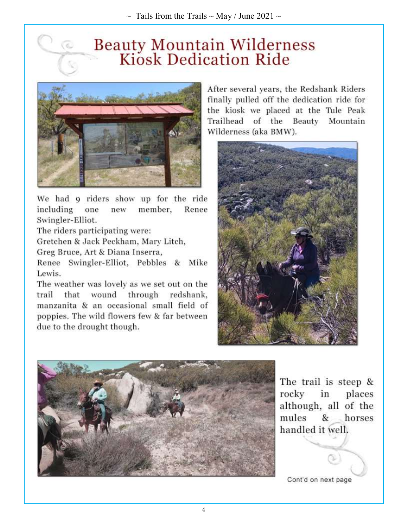# **Beauty Mountain Wilderness<br>Kiosk Dedication Ride**



We had 9 riders show up for the ride including one new member, Renee Swingler-Elliot.

The riders participating were:

Gretchen & Jack Peckham, Mary Litch,

Greg Bruce, Art & Diana Inserra,

Renee Swingler-Elliot, Pebbles & Mike Lewis.

The weather was lovely as we set out on the that wound through redshank, trail manzanita & an occasional small field of poppies. The wild flowers few & far between due to the drought though.

After several years, the Redshank Riders finally pulled off the dedication ride for the kiosk we placed at the Tule Peak Trailhead of the Beauty Mountain Wilderness (aka BMW).





The trail is steep & rocky in places although, all of the mules & horses handled it well.

Cont'd on next page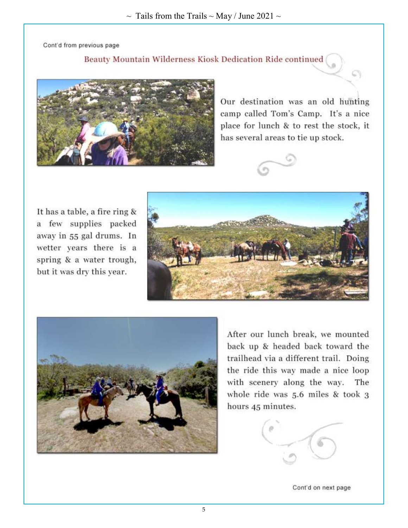Cont'd from previous page

Beauty Mountain Wilderness Kiosk Dedication Ride continued



Our destination was an old hunting camp called Tom's Camp. It's a nice place for lunch & to rest the stock, it has several areas to tie up stock.



It has a table, a fire ring & a few supplies packed away in 55 gal drums. In wetter years there is a spring & a water trough, but it was dry this year.





After our lunch break, we mounted back up & headed back toward the trailhead via a different trail. Doing the ride this way made a nice loop with scenery along the way. The whole ride was 5.6 miles & took 3 hours 45 minutes.



Cont'd on next page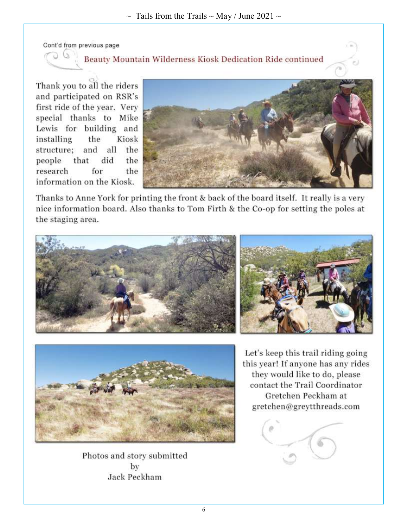Cont'd from previous page

U.

### Beauty Mountain Wilderness Kiosk Dedication Ride continued

Thank you to all the riders and participated on RSR's first ride of the year. Very special thanks to Mike Lewis for building and installing the Kiosk structure; and all the did people that the for the research information on the Kiosk.



Thanks to Anne York for printing the front & back of the board itself. It really is a very nice information board. Also thanks to Tom Firth & the Co-op for setting the poles at the staging area.







Photos and story submitted by Jack Peckham

Let's keep this trail riding going this year! If anyone has any rides they would like to do, please contact the Trail Coordinator Gretchen Peckham at gretchen@greytthreads.com

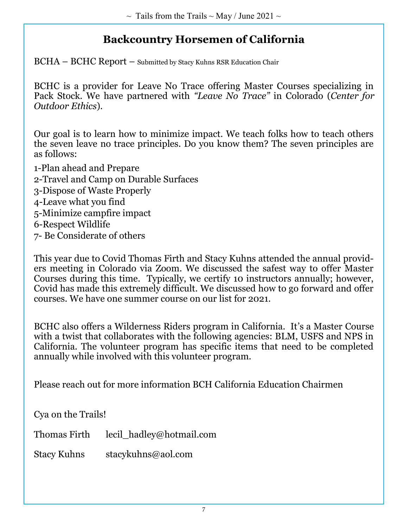# **Backcountry Horsemen of California**

BCHA – BCHC Report – Submitted by Stacy Kuhns RSR Education Chair

BCHC is a provider for Leave No Trace offering Master Courses specializing in Pack Stock. We have partnered with *"Leave No Trace"* in Colorado (*Center for Outdoor Ethics*).

Our goal is to learn how to minimize impact. We teach folks how to teach others the seven leave no trace principles. Do you know them? The seven principles are as follows:

1-Plan ahead and Prepare 2-Travel and Camp on Durable Surfaces 3-Dispose of Waste Properly 4-Leave what you find 5-Minimize campfire impact 6-Respect Wildlife 7- Be Considerate of others

This year due to Covid Thomas Firth and Stacy Kuhns attended the annual providers meeting in Colorado via Zoom. We discussed the safest way to offer Master Courses during this time. Typically, we certify 10 instructors annually; however, Covid has made this extremely difficult. We discussed how to go forward and offer courses. We have one summer course on our list for 2021.

BCHC also offers a Wilderness Riders program in California. It's a Master Course with a twist that collaborates with the following agencies: BLM, USFS and NPS in California. The volunteer program has specific items that need to be completed annually while involved with this volunteer program.

Please reach out for more information BCH California Education Chairmen

Cya on the Trails!

Thomas Firth lecil hadley@hotmail.com

Stacy Kuhns stacykuhns@aol.com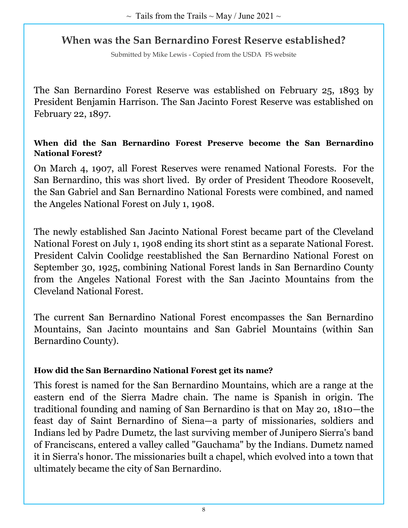### **When was the San Bernardino Forest Reserve established?**

Submitted by Mike Lewis - Copied from the USDA FS website

The San Bernardino Forest Reserve was established on February 25, 1893 by President Benjamin Harrison. The San Jacinto Forest Reserve was established on February 22, 1897.

### **When did the San Bernardino Forest Preserve become the San Bernardino National Forest?**

On March 4, 1907, all Forest Reserves were renamed National Forests. For the San Bernardino, this was short lived. By order of President Theodore Roosevelt, the San Gabriel and San Bernardino National Forests were combined, and named the Angeles National Forest on July 1, 1908.

The newly established San Jacinto National Forest became part of the Cleveland National Forest on July 1, 1908 ending its short stint as a separate National Forest. President Calvin Coolidge reestablished the San Bernardino National Forest on September 30, 1925, combining National Forest lands in San Bernardino County from the Angeles National Forest with the San Jacinto Mountains from the Cleveland National Forest.

The current San Bernardino National Forest encompasses the San Bernardino Mountains, San Jacinto mountains and San Gabriel Mountains (within San Bernardino County).

### **How did the San Bernardino National Forest get its name?**

This forest is named for the San Bernardino Mountains, which are a range at the eastern end of the Sierra Madre chain. The name is Spanish in origin. The traditional founding and naming of San Bernardino is that on May 20, 1810—the feast day of Saint Bernardino of Siena—a party of missionaries, soldiers and Indians led by Padre Dumetz, the last surviving member of Junipero Sierra's band of Franciscans, entered a valley called "Gauchama" by the Indians. Dumetz named it in Sierra's honor. The missionaries built a chapel, which evolved into a town that ultimately became the city of San Bernardino.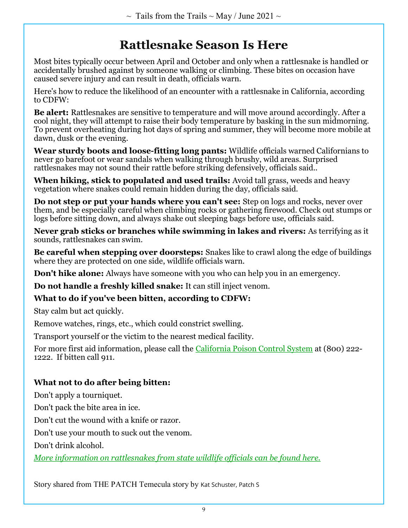# **Rattlesnake Season Is Here**

Most bites typically occur between April and October and only when a rattlesnake is handled or accidentally brushed against by someone walking or climbing. These bites on occasion have caused severe injury and can result in death, officials warn.

Here's how to reduce the likelihood of an encounter with a rattlesnake in California, according to CDFW:

**Be alert:** Rattlesnakes are sensitive to temperature and will move around accordingly. After a cool night, they will attempt to raise their body temperature by basking in the sun midmorning. To prevent overheating during hot days of spring and summer, they will become more mobile at dawn, dusk or the evening.

**Wear sturdy boots and loose-fitting long pants:** Wildlife officials warned Californians to never go barefoot or wear sandals when walking through brushy, wild areas. Surprised rattlesnakes may not sound their rattle before striking defensively, officials said..

**When hiking, stick to populated and used trails:** Avoid tall grass, weeds and heavy vegetation where snakes could remain hidden during the day, officials said.

**Do not step or put your hands where you can't see:** Step on logs and rocks, never over them, and be especially careful when climbing rocks or gathering firewood. Check out stumps or logs before sitting down, and always shake out sleeping bags before use, officials said.

**Never grab sticks or branches while swimming in lakes and rivers:** As terrifying as it sounds, rattlesnakes can swim.

**Be careful when stepping over doorsteps:** Snakes like to crawl along the edge of buildings where they are protected on one side, wildlife officials warn.

**Don't hike alone:** Always have someone with you who can help you in an emergency.

**Do not handle a freshly killed snake:** It can still inject venom.

### **What to do if you've been bitten, according to CDFW:**

Stay calm but act quickly.

Remove watches, rings, etc., which could constrict swelling.

Transport yourself or the victim to the nearest medical facility.

For more first aid information, please call the California Poison Control System at (800) 222- 1222. If bitten call 911.

### **What not to do after being bitten:**

Don't apply a tourniquet.

Don't pack the bite area in ice.

Don't cut the wound with a knife or razor.

Don't use your mouth to suck out the venom.

Don't drink alcohol.

*More information on rattlesnakes from state wildlife officials can be found here.*

Story shared from THE PATCH Temecula story by Kat Schuster, Patch S��